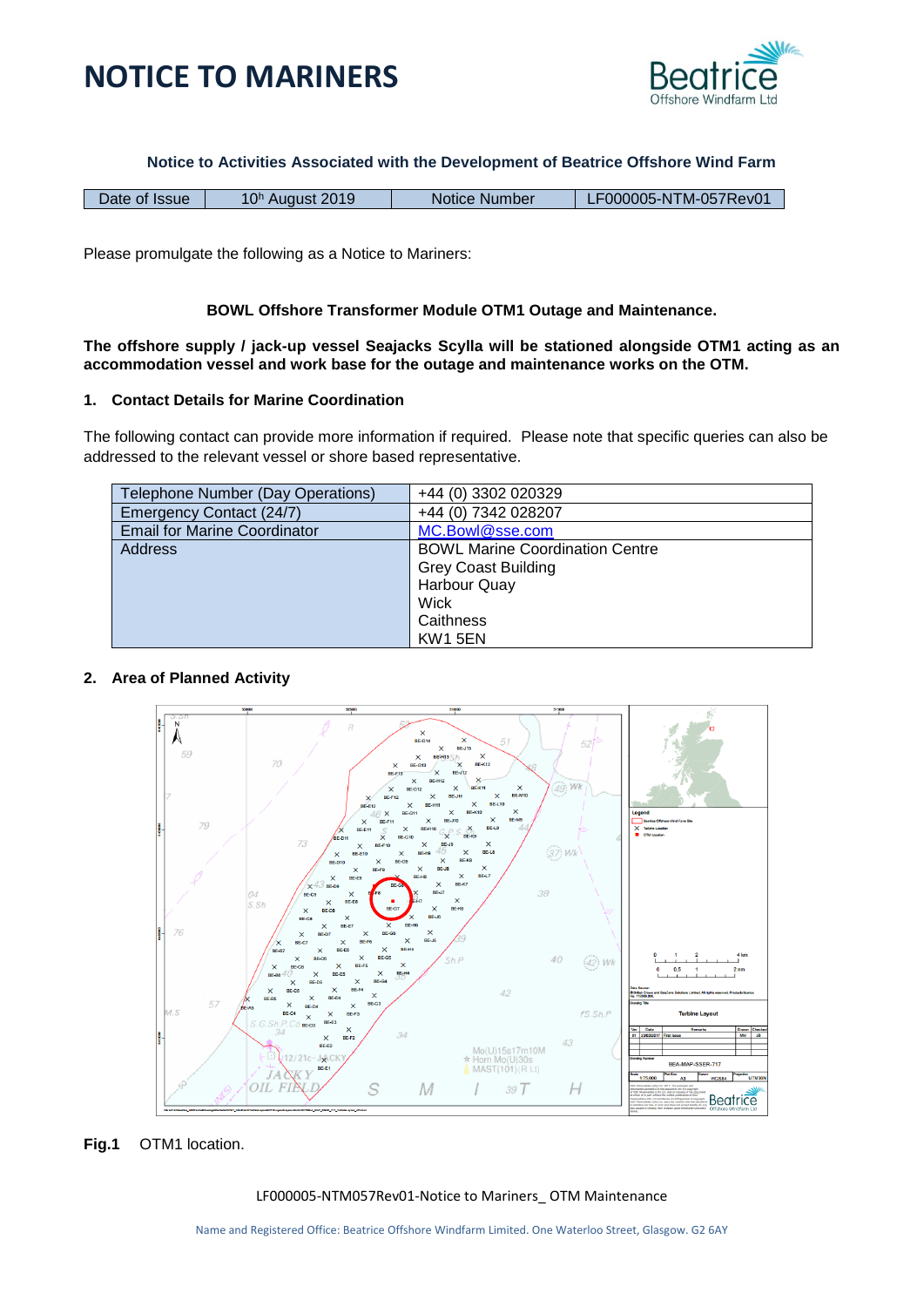



**Notice to Activities Associated with the Development of Beatrice Offshore Wind Farm**

| Date of Issue |                             | Notice Number | LF000005-NTM-057Rev01 |
|---------------|-----------------------------|---------------|-----------------------|
|               | 10 <sup>h</sup> August 2019 |               |                       |

Please promulgate the following as a Notice to Mariners:

# **BOWL Offshore Transformer Module OTM1 Outage and Maintenance.**

**The offshore supply / jack-up vessel Seajacks Scylla will be stationed alongside OTM1 acting as an accommodation vessel and work base for the outage and maintenance works on the OTM.** 

#### **1. Contact Details for Marine Coordination**

The following contact can provide more information if required. Please note that specific queries can also be addressed to the relevant vessel or shore based representative.

| Telephone Number (Day Operations)   | +44 (0) 3302 020329                    |
|-------------------------------------|----------------------------------------|
| Emergency Contact (24/7)            | +44 (0) 7342 028207                    |
| <b>Email for Marine Coordinator</b> | MC.Bowl@sse.com                        |
| <b>Address</b>                      | <b>BOWL Marine Coordination Centre</b> |
|                                     | <b>Grey Coast Building</b>             |
|                                     | Harbour Quay                           |
|                                     | Wick                                   |
|                                     | Caithness                              |
|                                     | <b>KW1 5EN</b>                         |

# **2. Area of Planned Activity**



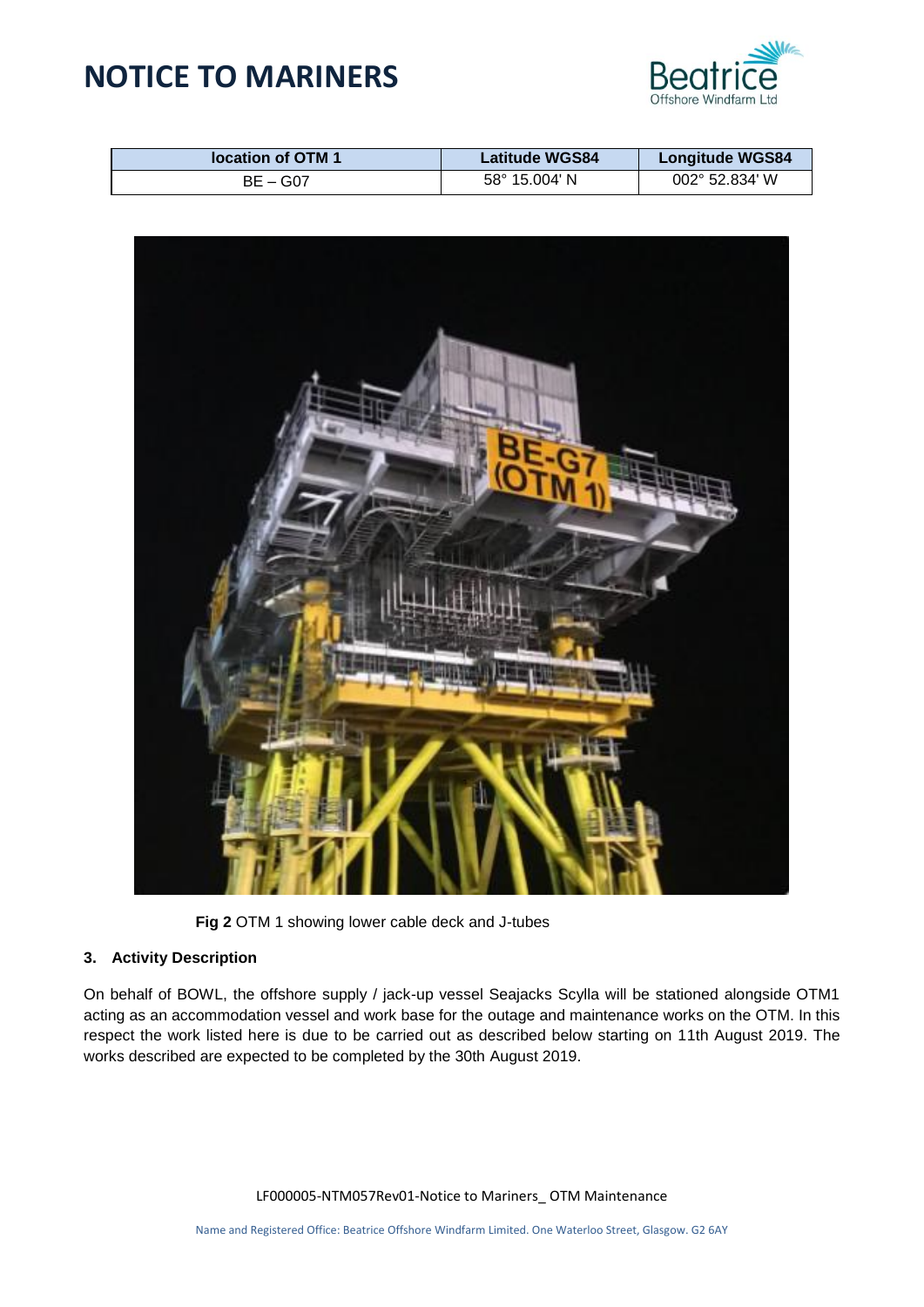# **NOTICE TO MARINERS**



| location of OTM 1 | <b>Latitude WGS84</b>  | <b>Longitude WGS84</b>  |
|-------------------|------------------------|-------------------------|
| $BE - G07$        | $58^{\circ}$ 15.004' N | $002^{\circ}$ 52.834' W |



**Fig 2** OTM 1 showing lower cable deck and J-tubes

# **3. Activity Description**

On behalf of BOWL, the offshore supply / jack-up vessel Seajacks Scylla will be stationed alongside OTM1 acting as an accommodation vessel and work base for the outage and maintenance works on the OTM. In this respect the work listed here is due to be carried out as described below starting on 11th August 2019. The works described are expected to be completed by the 30th August 2019.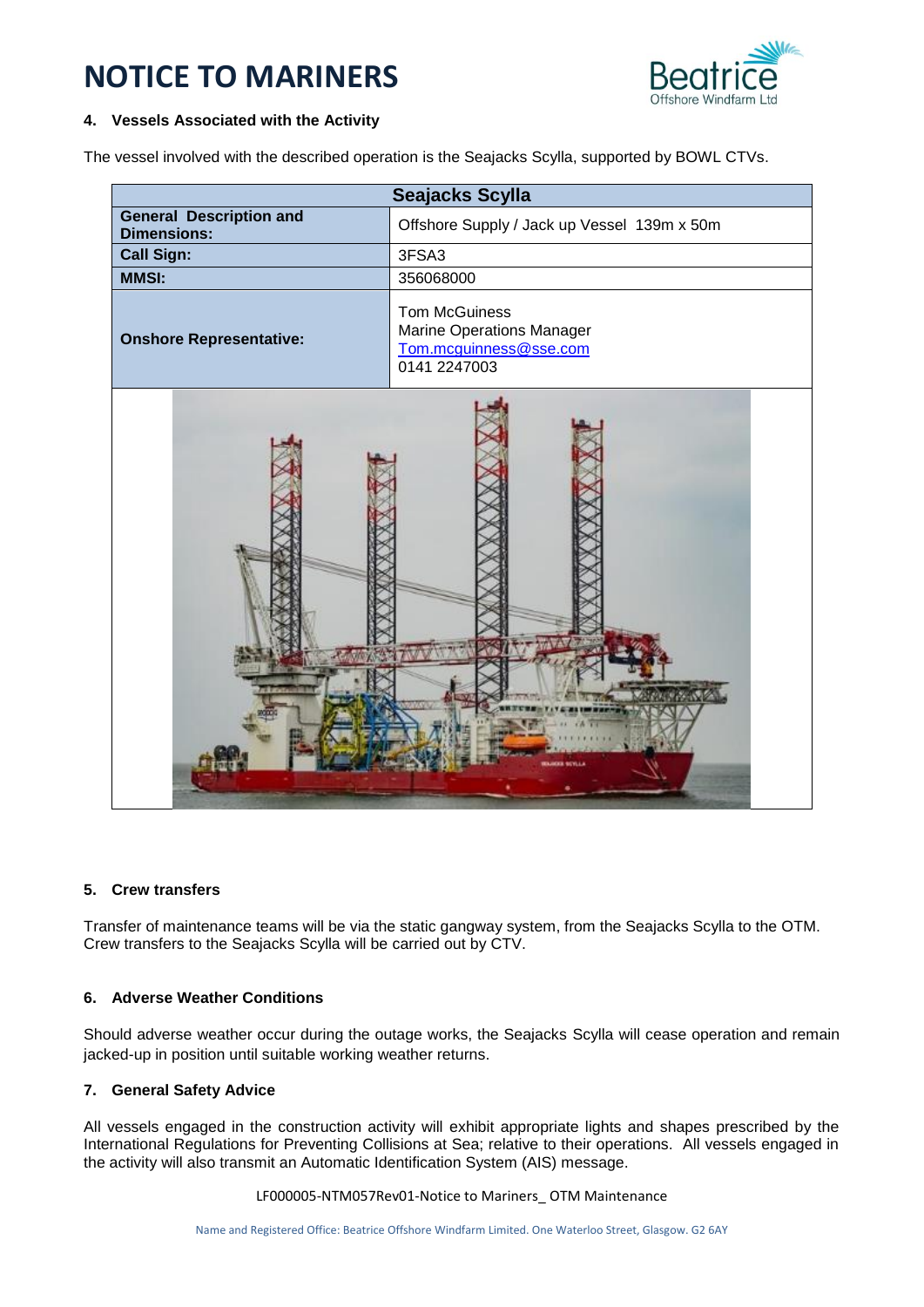# **NOTICE TO MARINERS**



#### **4. Vessels Associated with the Activity**

The vessel involved with the described operation is the Seajacks Scylla, supported by BOWL CTVs.

| Seajacks Scylla                                      |                                                                                             |  |
|------------------------------------------------------|---------------------------------------------------------------------------------------------|--|
| <b>General Description and</b><br><b>Dimensions:</b> | Offshore Supply / Jack up Vessel 139m x 50m                                                 |  |
| <b>Call Sign:</b>                                    | 3FSA3                                                                                       |  |
| <b>MMSI:</b>                                         | 356068000                                                                                   |  |
| <b>Onshore Representative:</b>                       | <b>Tom McGuiness</b><br>Marine Operations Manager<br>Tom.mcguinness@sse.com<br>0141 2247003 |  |
| <b>CER MEVILLI</b>                                   |                                                                                             |  |

#### **5. Crew transfers**

Transfer of maintenance teams will be via the static gangway system, from the Seajacks Scylla to the OTM. Crew transfers to the Seajacks Scylla will be carried out by CTV.

# **6. Adverse Weather Conditions**

Should adverse weather occur during the outage works, the Seajacks Scylla will cease operation and remain jacked-up in position until suitable working weather returns.

# **7. General Safety Advice**

All vessels engaged in the construction activity will exhibit appropriate lights and shapes prescribed by the International Regulations for Preventing Collisions at Sea; relative to their operations. All vessels engaged in the activity will also transmit an Automatic Identification System (AIS) message.